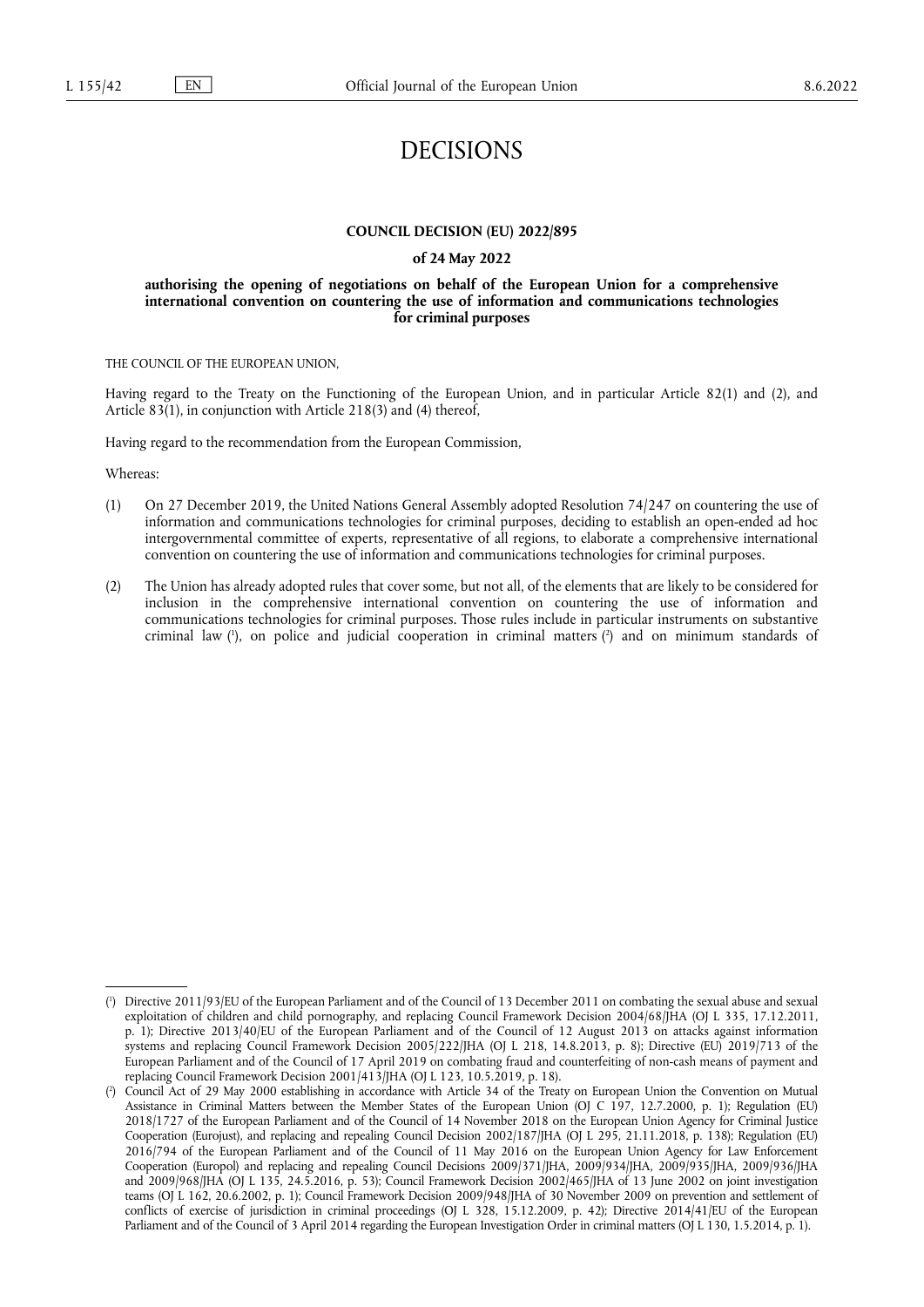# DECISIONS

#### **COUNCIL DECISION (EU) 2022/895**

#### **of 24 May 2022**

#### **authorising the opening of negotiations on behalf of the European Union for a comprehensive international convention on countering the use of information and communications technologies for criminal purposes**

THE COUNCIL OF THE EUROPEAN UNION,

Having regard to the Treaty on the Functioning of the European Union, and in particular Article 82(1) and (2), and Article 83(1), in conjunction with Article 218(3) and (4) thereof,

Having regard to the recommendation from the European Commission,

Whereas:

- (1) On 27 December 2019, the United Nations General Assembly adopted Resolution 74/247 on countering the use of information and communications technologies for criminal purposes, deciding to establish an open-ended ad hoc intergovernmental committee of experts, representative of all regions, to elaborate a comprehensive international convention on countering the use of information and communications technologies for criminal purposes.
- <span id="page-0-2"></span>(2) The Union has already adopted rules that cover some, but not all, of the elements that are likely to be considered for inclusion in the comprehensive international convention on countering the use of information and communications technologies for criminal purposes. Those rules include in particular instruments on substantive criminal law ( 1 [\),](#page-0-0) on police and judicial cooperation in criminal matters [\(](#page-0-1) 2 ) and on minimum standards of

<span id="page-0-0"></span>[<sup>\(</sup>](#page-0-2) 1 ) Directive 2011/93/EU of the European Parliament and of the Council of 13 December 2011 on combating the sexual abuse and sexual exploitation of children and child pornography, and replacing Council Framework Decision 2004/68/JHA (OJ L 335, 17.12.2011, p. 1); Directive 2013/40/EU of the European Parliament and of the Council of 12 August 2013 on attacks against information systems and replacing Council Framework Decision 2005/222/JHA (OJ L 218, 14.8.2013, p. 8); Directive (EU) 2019/713 of the European Parliament and of the Council of 17 April 2019 on combating fraud and counterfeiting of non-cash means of payment and replacing Council Framework Decision 2001/413/JHA (OJ L 123, 10.5.2019, p. 18).

<span id="page-0-1"></span>[<sup>\(</sup>](#page-0-2) 2 ) Council Act of 29 May 2000 establishing in accordance with Article 34 of the Treaty on European Union the Convention on Mutual Assistance in Criminal Matters between the Member States of the European Union (OJ C 197, 12.7.2000, p. 1); Regulation (EU) 2018/1727 of the European Parliament and of the Council of 14 November 2018 on the European Union Agency for Criminal Justice Cooperation (Eurojust), and replacing and repealing Council Decision 2002/187/JHA (OJ L 295, 21.11.2018, p. 138); Regulation (EU) 2016/794 of the European Parliament and of the Council of 11 May 2016 on the European Union Agency for Law Enforcement Cooperation (Europol) and replacing and repealing Council Decisions 2009/371/JHA, 2009/934/JHA, 2009/935/JHA, 2009/936/JHA and 2009/968/JHA (OJ L 135, 24.5.2016, p. 53); Council Framework Decision 2002/465/JHA of 13 June 2002 on joint investigation teams (OJ L 162, 20.6.2002, p. 1); Council Framework Decision 2009/948/JHA of 30 November 2009 on prevention and settlement of conflicts of exercise of jurisdiction in criminal proceedings (OJ L 328, 15.12.2009, p. 42); Directive 2014/41/EU of the European Parliament and of the Council of 3 April 2014 regarding the European Investigation Order in criminal matters (OJ L 130, 1.5.2014, p. 1).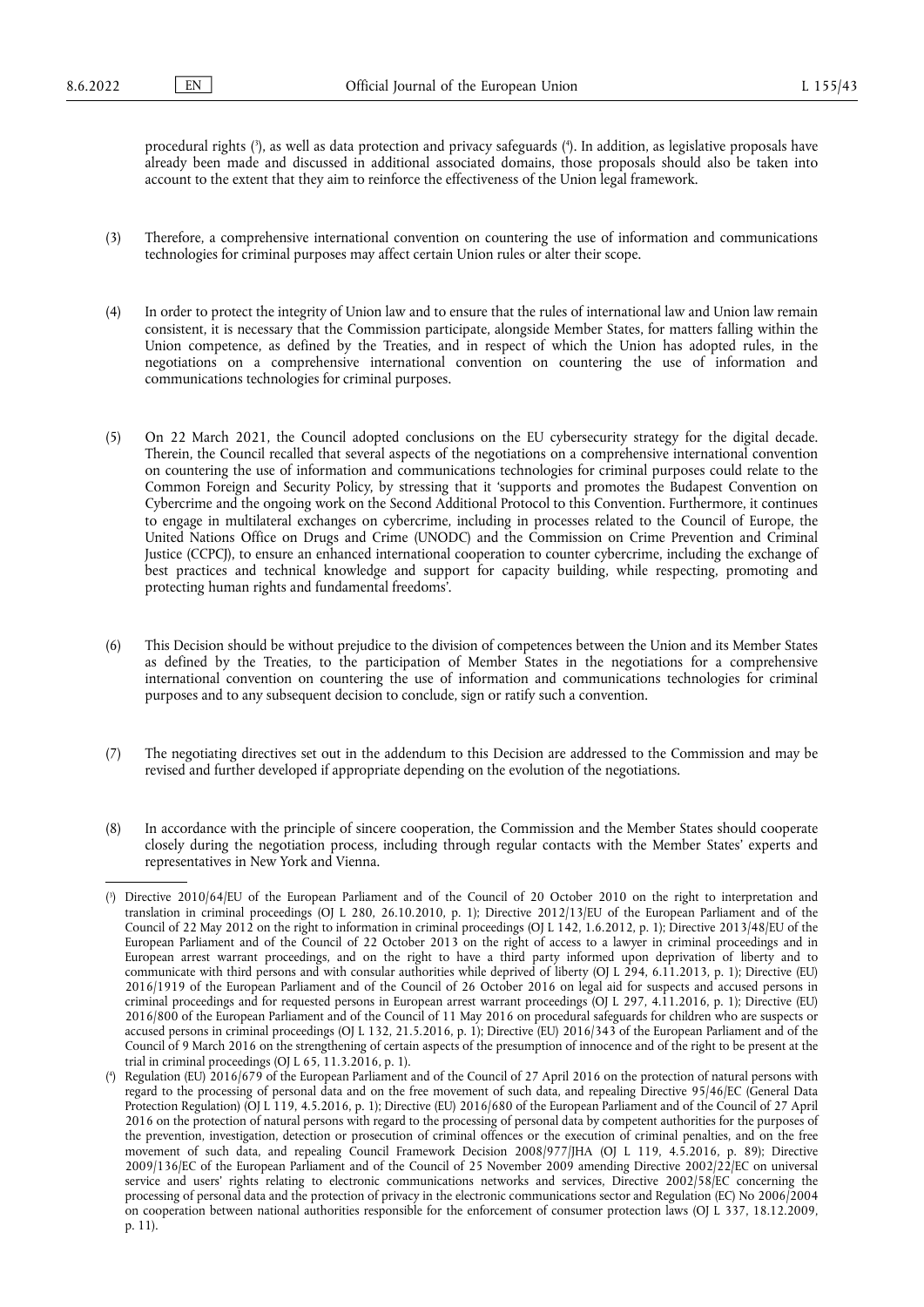<span id="page-1-2"></span>procedural rights [\(](#page-1-0) 3 ), as well as data protection and privacy safeguards ( 4 [\).](#page-1-1) In addition, as legislative proposals have already been made and discussed in additional associated domains, those proposals should also be taken into account to the extent that they aim to reinforce the effectiveness of the Union legal framework.

- (3) Therefore, a comprehensive international convention on countering the use of information and communications technologies for criminal purposes may affect certain Union rules or alter their scope.
- (4) In order to protect the integrity of Union law and to ensure that the rules of international law and Union law remain consistent, it is necessary that the Commission participate, alongside Member States, for matters falling within the Union competence, as defined by the Treaties, and in respect of which the Union has adopted rules, in the negotiations on a comprehensive international convention on countering the use of information and communications technologies for criminal purposes.
- (5) On 22 March 2021, the Council adopted conclusions on the EU cybersecurity strategy for the digital decade. Therein, the Council recalled that several aspects of the negotiations on a comprehensive international convention on countering the use of information and communications technologies for criminal purposes could relate to the Common Foreign and Security Policy, by stressing that it 'supports and promotes the Budapest Convention on Cybercrime and the ongoing work on the Second Additional Protocol to this Convention. Furthermore, it continues to engage in multilateral exchanges on cybercrime, including in processes related to the Council of Europe, the United Nations Office on Drugs and Crime (UNODC) and the Commission on Crime Prevention and Criminal Justice (CCPCJ), to ensure an enhanced international cooperation to counter cybercrime, including the exchange of best practices and technical knowledge and support for capacity building, while respecting, promoting and protecting human rights and fundamental freedoms'.
- (6) This Decision should be without prejudice to the division of competences between the Union and its Member States as defined by the Treaties, to the participation of Member States in the negotiations for a comprehensive international convention on countering the use of information and communications technologies for criminal purposes and to any subsequent decision to conclude, sign or ratify such a convention.
- (7) The negotiating directives set out in the addendum to this Decision are addressed to the Commission and may be revised and further developed if appropriate depending on the evolution of the negotiations.
- (8) In accordance with the principle of sincere cooperation, the Commission and the Member States should cooperate closely during the negotiation process, including through regular contacts with the Member States' experts and representatives in New York and Vienna.

<span id="page-1-0"></span>[<sup>\(</sup>](#page-1-2) 3 ) Directive 2010/64/EU of the European Parliament and of the Council of 20 October 2010 on the right to interpretation and translation in criminal proceedings (OJ L 280, 26.10.2010, p. 1); Directive 2012/13/EU of the European Parliament and of the Council of 22 May 2012 on the right to information in criminal proceedings (OJ L 142, 1.6.2012, p. 1); Directive 2013/48/EU of the European Parliament and of the Council of 22 October 2013 on the right of access to a lawyer in criminal proceedings and in European arrest warrant proceedings, and on the right to have a third party informed upon deprivation of liberty and to communicate with third persons and with consular authorities while deprived of liberty (OJ L 294, 6.11.2013, p. 1); Directive (EU) 2016/1919 of the European Parliament and of the Council of 26 October 2016 on legal aid for suspects and accused persons in criminal proceedings and for requested persons in European arrest warrant proceedings (OJ L 297, 4.11.2016, p. 1); Directive (EU) 2016/800 of the European Parliament and of the Council of 11 May 2016 on procedural safeguards for children who are suspects or accused persons in criminal proceedings (OJ L 132, 21.5.2016, p. 1); Directive (EU) 2016/343 of the European Parliament and of the Council of 9 March 2016 on the strengthening of certain aspects of the presumption of innocence and of the right to be present at the trial in criminal proceedings (OJ L 65, 11.3.2016, p. 1).

<span id="page-1-1"></span> $($ <sup>4</sup> ) Regulation (EU) 2016/679 of the European Parliament and of the Council of 27 April 2016 on the protection of natural persons with regard to the processing of personal data and on the free movement of such data, and repealing Directive 95/46/EC (General Data Protection Regulation) (OJ L 119, 4.5.2016, p. 1); Directive (EU) 2016/680 of the European Parliament and of the Council of 27 April 2016 on the protection of natural persons with regard to the processing of personal data by competent authorities for the purposes of the prevention, investigation, detection or prosecution of criminal offences or the execution of criminal penalties, and on the free movement of such data, and repealing Council Framework Decision 2008/977/JHA (OJ L 119, 4.5.2016, p. 89); Directive 2009/136/EC of the European Parliament and of the Council of 25 November 2009 amending Directive 2002/22/EC on universal service and users' rights relating to electronic communications networks and services, Directive 2002/58/EC concerning the processing of personal data and the protection of privacy in the electronic communications sector and Regulation (EC) No 2006/2004 on cooperation between national authorities responsible for the enforcement of consumer protection laws (OJ L 337, 18.12.2009, p. 11).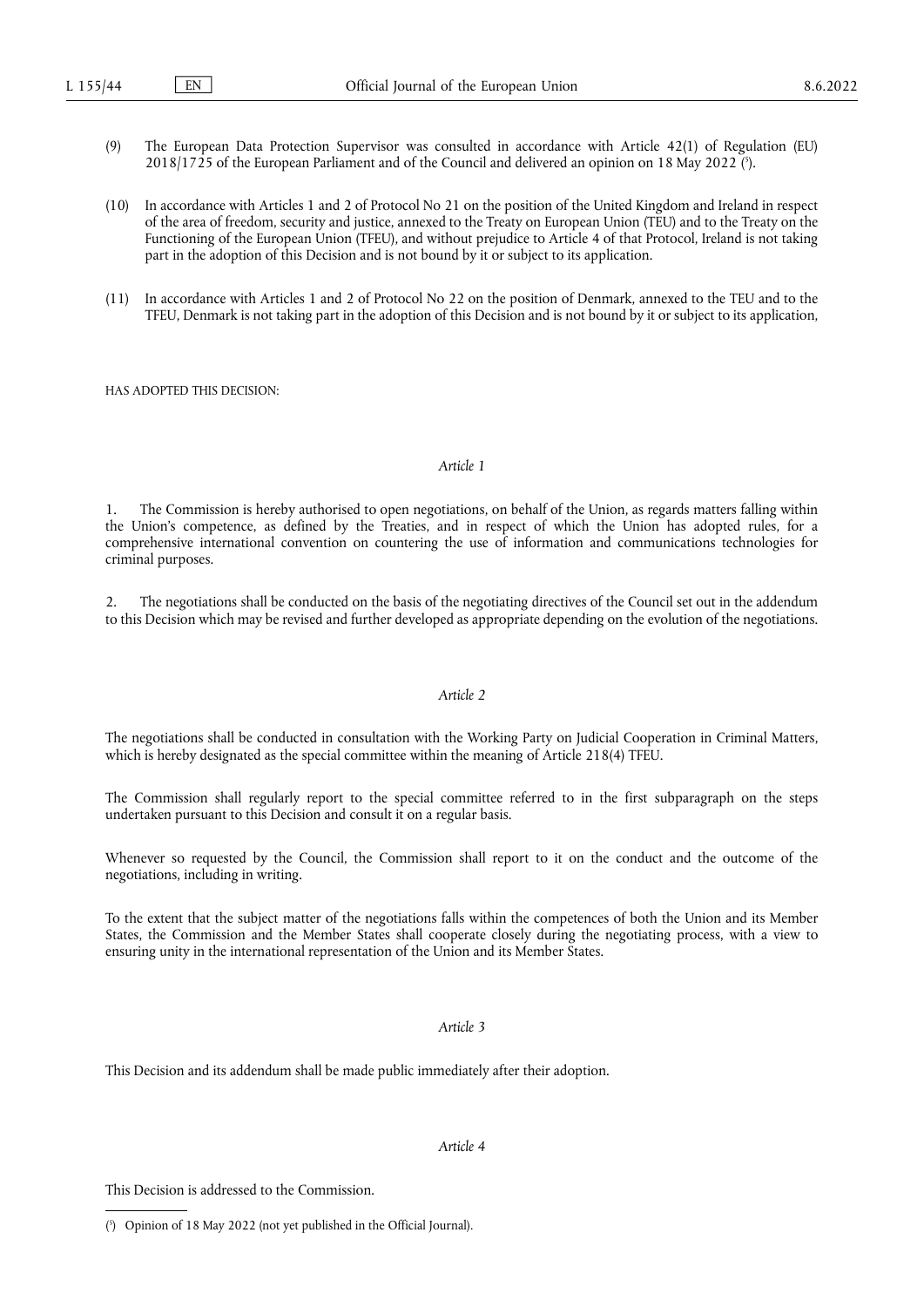- <span id="page-2-1"></span>(9) The European Data Protection Supervisor was consulted in accordance with Article 42(1) of Regulation (EU) 2018/1725 of the European Parliament and of the Council and delivered an opinion on 18 May 2022 [\(](#page-2-0) 5 ).
- (10) In accordance with Articles 1 and 2 of Protocol No 21 on the position of the United Kingdom and Ireland in respect of the area of freedom, security and justice, annexed to the Treaty on European Union (TEU) and to the Treaty on the Functioning of the European Union (TFEU), and without prejudice to Article 4 of that Protocol, Ireland is not taking part in the adoption of this Decision and is not bound by it or subject to its application.
- (11) In accordance with Articles 1 and 2 of Protocol No 22 on the position of Denmark, annexed to the TEU and to the TFEU, Denmark is not taking part in the adoption of this Decision and is not bound by it or subject to its application,

HAS ADOPTED THIS DECISION:

### *Article 1*

1. The Commission is hereby authorised to open negotiations, on behalf of the Union, as regards matters falling within the Union's competence, as defined by the Treaties, and in respect of which the Union has adopted rules, for a comprehensive international convention on countering the use of information and communications technologies for criminal purposes.

2. The negotiations shall be conducted on the basis of the negotiating directives of the Council set out in the addendum to this Decision which may be revised and further developed as appropriate depending on the evolution of the negotiations.

#### *Article 2*

The negotiations shall be conducted in consultation with the Working Party on Judicial Cooperation in Criminal Matters, which is hereby designated as the special committee within the meaning of Article 218(4) TFEU.

The Commission shall regularly report to the special committee referred to in the first subparagraph on the steps undertaken pursuant to this Decision and consult it on a regular basis.

Whenever so requested by the Council, the Commission shall report to it on the conduct and the outcome of the negotiations, including in writing.

To the extent that the subject matter of the negotiations falls within the competences of both the Union and its Member States, the Commission and the Member States shall cooperate closely during the negotiating process, with a view to ensuring unity in the international representation of the Union and its Member States.

#### *Article 3*

This Decision and its addendum shall be made public immediately after their adoption.

## *Article 4*

This Decision is addressed to the Commission.

<span id="page-2-0"></span>[<sup>\(</sup>](#page-2-1) 5 ) Opinion of 18 May 2022 (not yet published in the Official Journal).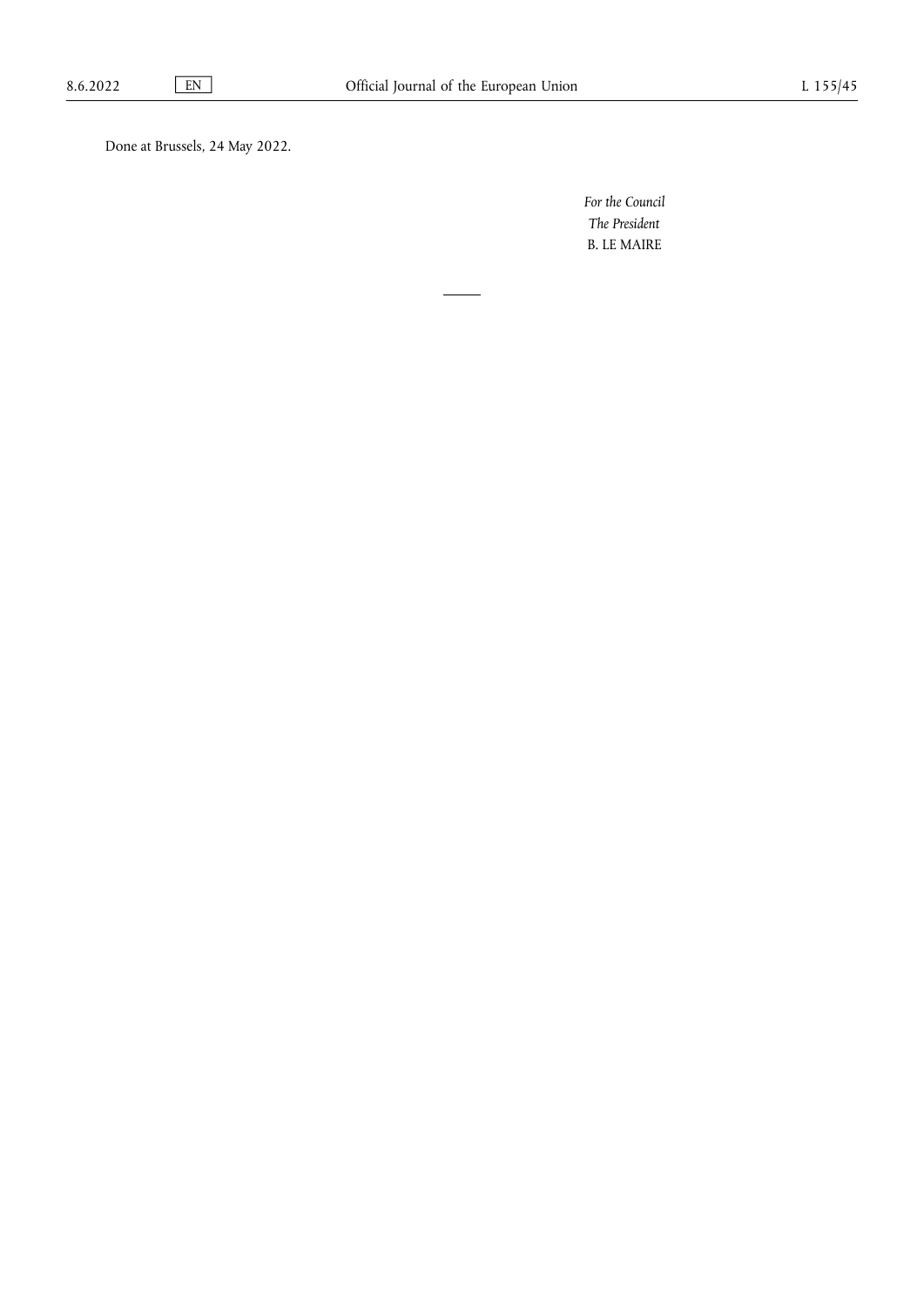Done at Brussels, 24 May 2022.

*For the Council The President* B. LE MAIRE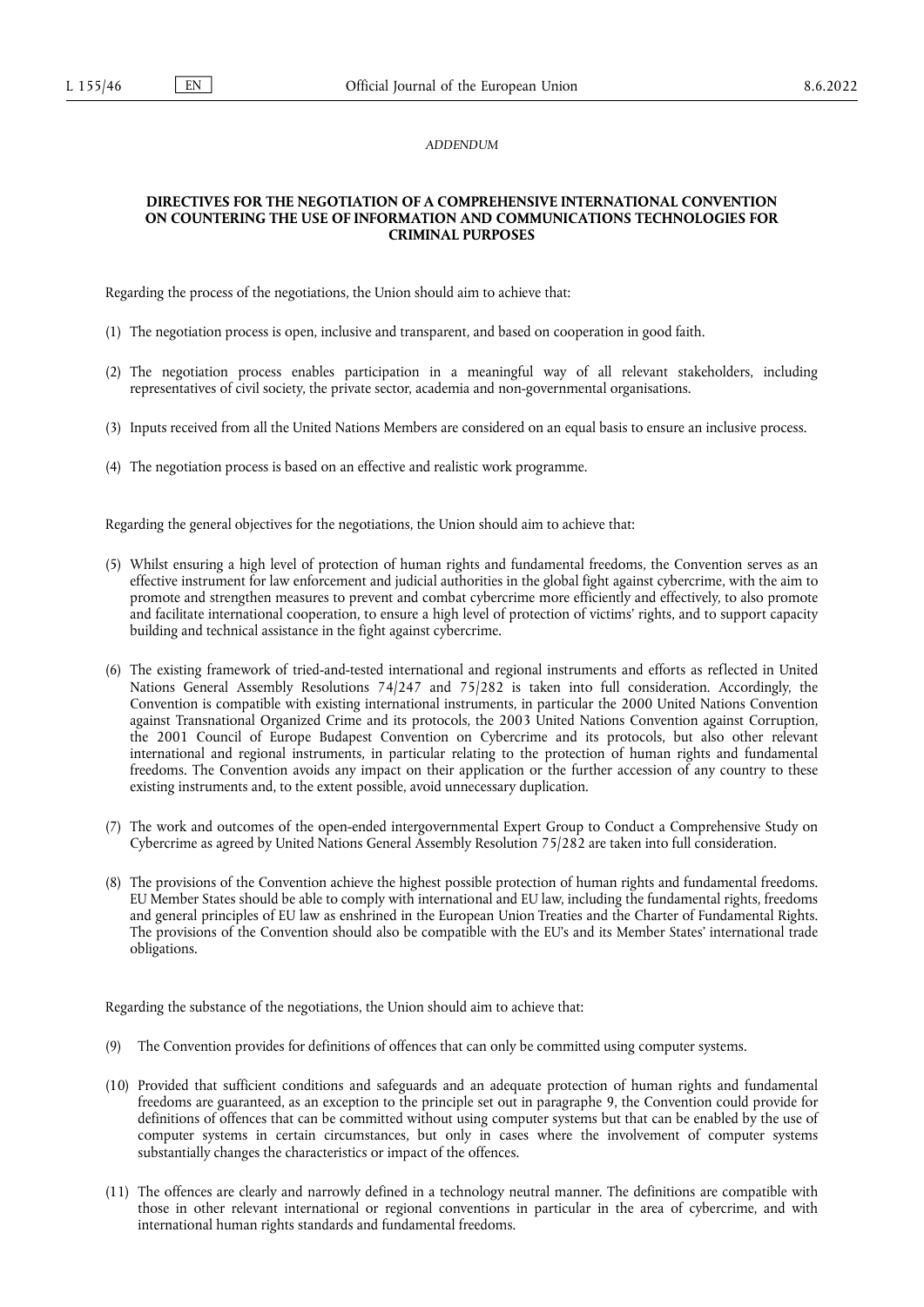#### *ADDENDUM*

#### **DIRECTIVES FOR THE NEGOTIATION OF A COMPREHENSIVE INTERNATIONAL CONVENTION ON COUNTERING THE USE OF INFORMATION AND COMMUNICATIONS TECHNOLOGIES FOR CRIMINAL PURPOSES**

Regarding the process of the negotiations, the Union should aim to achieve that:

- (1) The negotiation process is open, inclusive and transparent, and based on cooperation in good faith.
- (2) The negotiation process enables participation in a meaningful way of all relevant stakeholders, including representatives of civil society, the private sector, academia and non-governmental organisations.
- (3) Inputs received from all the United Nations Members are considered on an equal basis to ensure an inclusive process.
- (4) The negotiation process is based on an effective and realistic work programme.

Regarding the general objectives for the negotiations, the Union should aim to achieve that:

- (5) Whilst ensuring a high level of protection of human rights and fundamental freedoms, the Convention serves as an effective instrument for law enforcement and judicial authorities in the global fight against cybercrime, with the aim to promote and strengthen measures to prevent and combat cybercrime more efficiently and effectively, to also promote and facilitate international cooperation, to ensure a high level of protection of victims' rights, and to support capacity building and technical assistance in the fight against cybercrime.
- (6) The existing framework of tried-and-tested international and regional instruments and efforts as reflected in United Nations General Assembly Resolutions 74/247 and 75/282 is taken into full consideration. Accordingly, the Convention is compatible with existing international instruments, in particular the 2000 United Nations Convention against Transnational Organized Crime and its protocols, the 2003 United Nations Convention against Corruption, the 2001 Council of Europe Budapest Convention on Cybercrime and its protocols, but also other relevant international and regional instruments, in particular relating to the protection of human rights and fundamental freedoms. The Convention avoids any impact on their application or the further accession of any country to these existing instruments and, to the extent possible, avoid unnecessary duplication.
- (7) The work and outcomes of the open-ended intergovernmental Expert Group to Conduct a Comprehensive Study on Cybercrime as agreed by United Nations General Assembly Resolution 75/282 are taken into full consideration.
- (8) The provisions of the Convention achieve the highest possible protection of human rights and fundamental freedoms. EU Member States should be able to comply with international and EU law, including the fundamental rights, freedoms and general principles of EU law as enshrined in the European Union Treaties and the Charter of Fundamental Rights. The provisions of the Convention should also be compatible with the EU's and its Member States' international trade obligations.

Regarding the substance of the negotiations, the Union should aim to achieve that:

- (9) The Convention provides for definitions of offences that can only be committed using computer systems.
- (10) Provided that sufficient conditions and safeguards and an adequate protection of human rights and fundamental freedoms are guaranteed, as an exception to the principle set out in paragraphe 9, the Convention could provide for definitions of offences that can be committed without using computer systems but that can be enabled by the use of computer systems in certain circumstances, but only in cases where the involvement of computer systems substantially changes the characteristics or impact of the offences.
- (11) The offences are clearly and narrowly defined in a technology neutral manner. The definitions are compatible with those in other relevant international or regional conventions in particular in the area of cybercrime, and with international human rights standards and fundamental freedoms.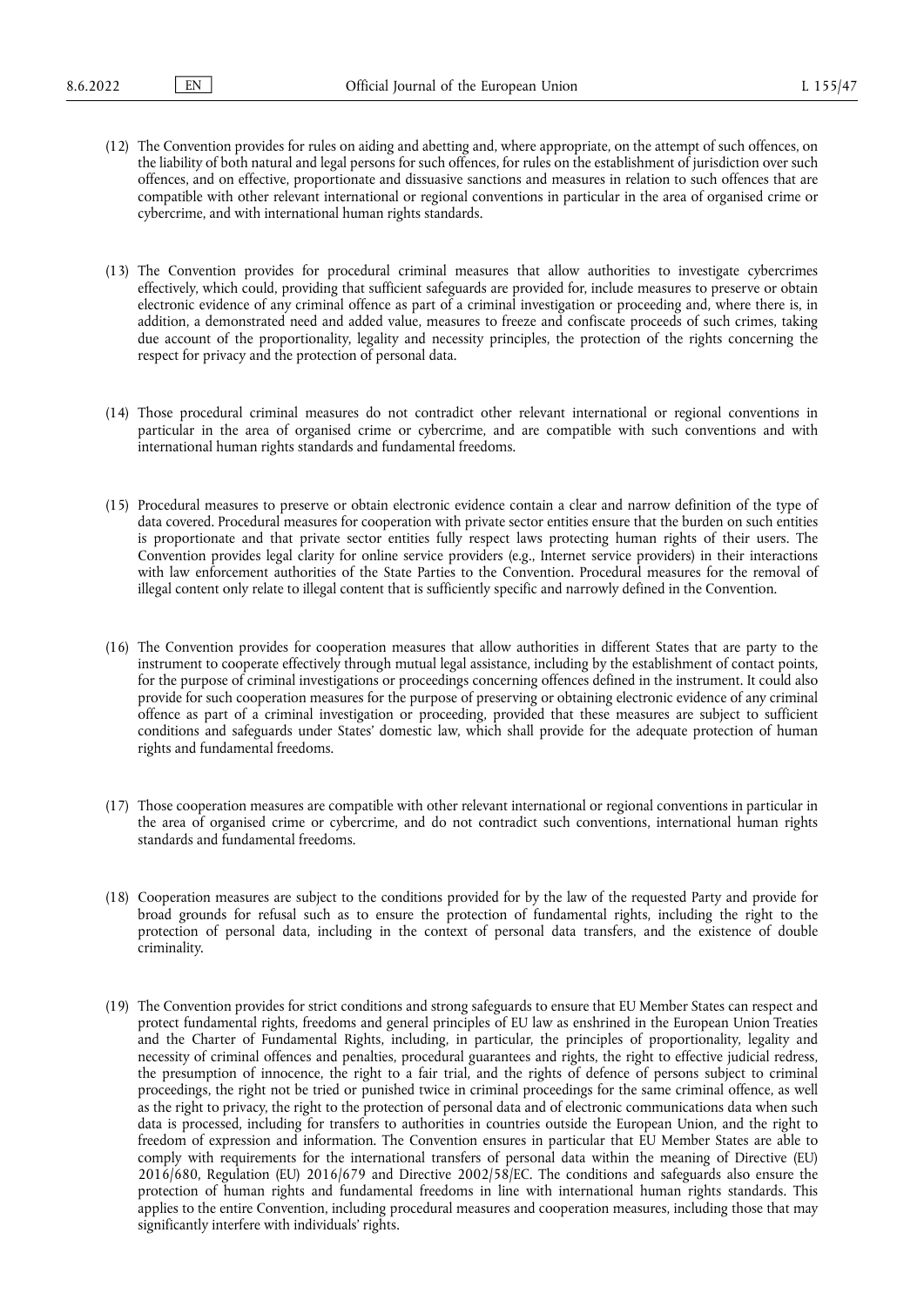- (12) The Convention provides for rules on aiding and abetting and, where appropriate, on the attempt of such offences, on the liability of both natural and legal persons for such offences, for rules on the establishment of jurisdiction over such offences, and on effective, proportionate and dissuasive sanctions and measures in relation to such offences that are compatible with other relevant international or regional conventions in particular in the area of organised crime or cybercrime, and with international human rights standards.
- (13) The Convention provides for procedural criminal measures that allow authorities to investigate cybercrimes effectively, which could, providing that sufficient safeguards are provided for, include measures to preserve or obtain electronic evidence of any criminal offence as part of a criminal investigation or proceeding and, where there is, in addition, a demonstrated need and added value, measures to freeze and confiscate proceeds of such crimes, taking due account of the proportionality, legality and necessity principles, the protection of the rights concerning the respect for privacy and the protection of personal data.
- (14) Those procedural criminal measures do not contradict other relevant international or regional conventions in particular in the area of organised crime or cybercrime, and are compatible with such conventions and with international human rights standards and fundamental freedoms.
- (15) Procedural measures to preserve or obtain electronic evidence contain a clear and narrow definition of the type of data covered. Procedural measures for cooperation with private sector entities ensure that the burden on such entities is proportionate and that private sector entities fully respect laws protecting human rights of their users. The Convention provides legal clarity for online service providers (e.g., Internet service providers) in their interactions with law enforcement authorities of the State Parties to the Convention. Procedural measures for the removal of illegal content only relate to illegal content that is sufficiently specific and narrowly defined in the Convention.
- (16) The Convention provides for cooperation measures that allow authorities in different States that are party to the instrument to cooperate effectively through mutual legal assistance, including by the establishment of contact points, for the purpose of criminal investigations or proceedings concerning offences defined in the instrument. It could also provide for such cooperation measures for the purpose of preserving or obtaining electronic evidence of any criminal offence as part of a criminal investigation or proceeding, provided that these measures are subject to sufficient conditions and safeguards under States' domestic law, which shall provide for the adequate protection of human rights and fundamental freedoms.
- (17) Those cooperation measures are compatible with other relevant international or regional conventions in particular in the area of organised crime or cybercrime, and do not contradict such conventions, international human rights standards and fundamental freedoms.
- (18) Cooperation measures are subject to the conditions provided for by the law of the requested Party and provide for broad grounds for refusal such as to ensure the protection of fundamental rights, including the right to the protection of personal data, including in the context of personal data transfers, and the existence of double criminality.
- (19) The Convention provides for strict conditions and strong safeguards to ensure that EU Member States can respect and protect fundamental rights, freedoms and general principles of EU law as enshrined in the European Union Treaties and the Charter of Fundamental Rights, including, in particular, the principles of proportionality, legality and necessity of criminal offences and penalties, procedural guarantees and rights, the right to effective judicial redress, the presumption of innocence, the right to a fair trial, and the rights of defence of persons subject to criminal proceedings, the right not be tried or punished twice in criminal proceedings for the same criminal offence, as well as the right to privacy, the right to the protection of personal data and of electronic communications data when such data is processed, including for transfers to authorities in countries outside the European Union, and the right to freedom of expression and information. The Convention ensures in particular that EU Member States are able to comply with requirements for the international transfers of personal data within the meaning of Directive (EU) 2016/680, Regulation (EU) 2016/679 and Directive 2002/58/EC. The conditions and safeguards also ensure the protection of human rights and fundamental freedoms in line with international human rights standards. This applies to the entire Convention, including procedural measures and cooperation measures, including those that may significantly interfere with individuals' rights.